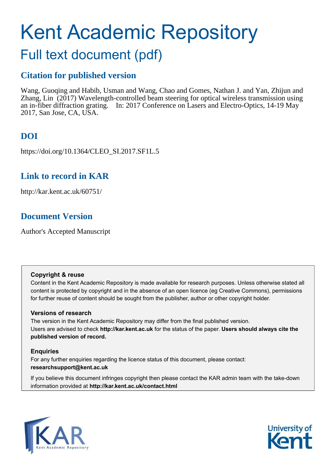# Kent Academic Repository

# Full text document (pdf)

# **Citation for published version**

Wang, Guoqing and Habib, Usman and Wang, Chao and Gomes, Nathan J. and Yan, Zhijun and Zhang, Lin (2017) Wavelength-controlled beam steering for optical wireless transmission using an in-fiber diffraction grating. In: 2017 Conference on Lasers and Electro-Optics, 14-19 May 2017, San Jose, CA, USA.

# **DOI**

https://doi.org/10.1364/CLEO\_SI.2017.SF1L.5

## **Link to record in KAR**

http://kar.kent.ac.uk/60751/

## **Document Version**

Author's Accepted Manuscript

## **Copyright & reuse**

Content in the Kent Academic Repository is made available for research purposes. Unless otherwise stated all content is protected by copyright and in the absence of an open licence (eg Creative Commons), permissions for further reuse of content should be sought from the publisher, author or other copyright holder.

## **Versions of research**

The version in the Kent Academic Repository may differ from the final published version. Users are advised to check **http://kar.kent.ac.uk** for the status of the paper. **Users should always cite the published version of record.**

## **Enquiries**

For any further enquiries regarding the licence status of this document, please contact: **researchsupport@kent.ac.uk**

If you believe this document infringes copyright then please contact the KAR admin team with the take-down information provided at **http://kar.kent.ac.uk/contact.html**



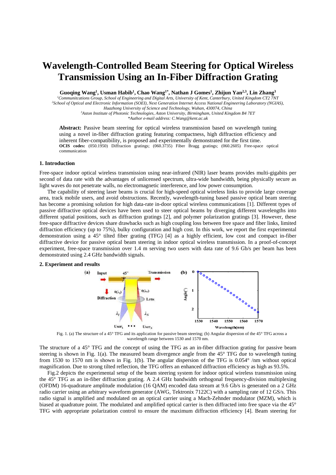# **Wavelength-Controlled Beam Steering for Optical Wireless Transmission Using an In-Fiber Diffraction Grating**

**Guoqing Wang<sup>1</sup> , Usman Habib<sup>1</sup> , Chao Wang1\*, Nathan J Gomes<sup>1</sup> , Zhijun Yan2,3, Lin Zhang<sup>3</sup>**

*<sup>1</sup>Communitcations Group, School of Engineering and Digital Arts, University of Kent, Canterbury, United Kingdom CT2 7NT <sup>2</sup>School of Optical and Electronic Information (SOEI), Next Generation Internet Access National Engineering Laboratory (NGIAS), Huazhong University of Science and Technology, Wuhan, 430074, China* 

> *<sup>3</sup>Aston Institute of Photonic Technologies, Aston University, Birmingham, United Kingdom B4 7ET \*Author e-mail address: C.Wang@kent.ac.uk*

**Abstract:** Passive beam steering for optical wireless transmission based on wavelength tuning using a novel in-fiber diffraction grating featuring compactness, high diffraction efficiency and inherent fiber-compatibility, is proposed and experimentally demonstrated for the first time. **OCIS codes:** (050.1950) Diffraction gratings; (060.3735) Fiber Bragg gratings; (060.2605) Free-space optical communication

## **1. Introduction**

Free-space indoor optical wireless transmission using near-infrared (NIR) laser beams provides multi-gigabits per second of data rate with the advantages of unlicensed spectrum, ultra-wide bandwidth, being physically secure as light waves do not penetrate walls, no electromagnetic interference, and low power consumption.

The capability of steering laser beams is crucial for high-speed optical wireless links to provide large coverage area, track mobile users, and avoid obstructions. Recently, wavelength-tuning based passive optical beam steering has become a promising solution for high data-rate in-door optical wireless communications [1]. Different types of passive diffractive optical devices have been used to steer optical beams by diverging different wavelengths into different spatial positions, such as diffraction gratings [2], and polymer polarization gratings [3]. However, these free-space diffractive devices share drawbacks such as high coupling loss between free space and fiber links, limited diffraction efficiency (up to 75%), bulky configuration and high cost. In this work, we report the first experimental demonstration using a 45° tilted fiber grating (TFG) [4] as a highly efficient, low cost and compact in-fiber diffractive device for passive optical beam steering in indoor optical wireless transmission. In a proof-of-concept experiment, free-space transmission over 1.4 m serving two users with data rate of 9.6 Gb/s per beam has been demonstrated using 2.4 GHz bandwidth signals.

#### **2. Experiment and results**



Exergence of a 45° TFG and its application for passive beam steering; (b) Angular dispersion of the 45° TFG across a TFG across a wavelength range between 1530 and 1570 nm.

The structure of a 45° TFG and the concept of using the TFG as an in-fiber diffraction grating for passive beam steering is shown in Fig. 1(a). The measured beam divergence angle from the 45° TFG due to wavelength tuning from 1530 to 1570 nm is shown in Fig. 1(b). The angular dispersion of the TFG is 0.054° /nm without optical magnification. Due to strong tilted reflection, the TFG offers an enhanced diffraction efficiency as high as 93.5%.

Fig.2 depicts the experimental setup of the beam steering system for indoor optical wireless transmission using the 45° TFG as an in-fiber diffraction grating. A 2.4 GHz bandwidth orthogonal frequency-division multiplexing (OFDM) 16-quadrature amplitude modulation (16 QAM) encoded data stream at 9.6 Gb/s is generated on a 2 GHz radio carrier using an arbitrary waveform generator (AWG, Tektronix 7122C) with a sampling rate of 12 GS/s. This radio signal is amplified and modulated on an optical carrier using a Mach-Zehnder modulator (MZM), which is biased at quadrature point. The modulated and amplified optical carrier is then diffracted into free space via the 45° TFG with appropriate polarization control to ensure the maximum diffraction efficiency [4]. Beam steering for